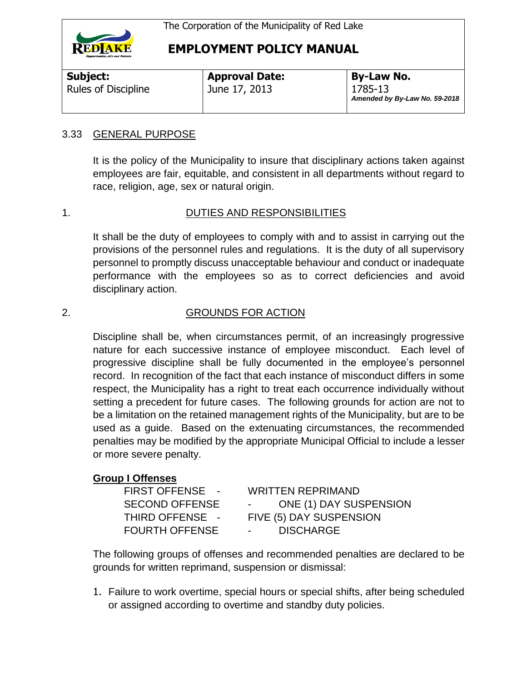

**Subject:**  Rules of Discipline

**Approval Date:** June 17, 2013

**By-Law No.** 1785-13 *Amended by By-Law No. 59-2018*

## 3.33 GENERAL PURPOSE

It is the policy of the Municipality to insure that disciplinary actions taken against employees are fair, equitable, and consistent in all departments without regard to race, religion, age, sex or natural origin.

## 1. DUTIES AND RESPONSIBILITIES

It shall be the duty of employees to comply with and to assist in carrying out the provisions of the personnel rules and regulations. It is the duty of all supervisory personnel to promptly discuss unacceptable behaviour and conduct or inadequate performance with the employees so as to correct deficiencies and avoid disciplinary action.

## 2. GROUNDS FOR ACTION

Discipline shall be, when circumstances permit, of an increasingly progressive nature for each successive instance of employee misconduct. Each level of progressive discipline shall be fully documented in the employee's personnel record. In recognition of the fact that each instance of misconduct differs in some respect, the Municipality has a right to treat each occurrence individually without setting a precedent for future cases. The following grounds for action are not to be a limitation on the retained management rights of the Municipality, but are to be used as a guide. Based on the extenuating circumstances, the recommended penalties may be modified by the appropriate Municipal Official to include a lesser or more severe penalty.

#### **Group I Offenses**

| <b>FIRST OFFENSE -</b> | <b>WRITTEN REPRIMAND</b>                    |
|------------------------|---------------------------------------------|
| <b>SECOND OFFENSE</b>  | <b>ONE (1) DAY SUSPENSION</b><br>$\sim 100$ |
| THIRD OFFENSE -        | FIVE (5) DAY SUSPENSION                     |
| <b>FOURTH OFFENSE</b>  | <b>DISCHARGE</b><br>$\sim 100$              |

The following groups of offenses and recommended penalties are declared to be grounds for written reprimand, suspension or dismissal:

1. Failure to work overtime, special hours or special shifts, after being scheduled or assigned according to overtime and standby duty policies.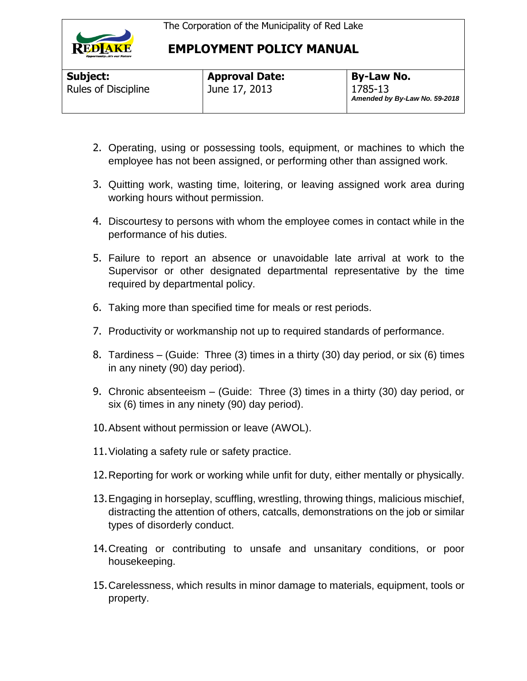

| Subject:                   |  |
|----------------------------|--|
| <b>Rules of Discipline</b> |  |

**Approval Date:** June 17, 2013

- 2. Operating, using or possessing tools, equipment, or machines to which the employee has not been assigned, or performing other than assigned work.
- 3. Quitting work, wasting time, loitering, or leaving assigned work area during working hours without permission.
- 4. Discourtesy to persons with whom the employee comes in contact while in the performance of his duties.
- 5. Failure to report an absence or unavoidable late arrival at work to the Supervisor or other designated departmental representative by the time required by departmental policy.
- 6. Taking more than specified time for meals or rest periods.
- 7. Productivity or workmanship not up to required standards of performance.
- 8. Tardiness (Guide: Three (3) times in a thirty (30) day period, or six (6) times in any ninety (90) day period).
- 9. Chronic absenteeism (Guide: Three (3) times in a thirty (30) day period, or six (6) times in any ninety (90) day period).
- 10.Absent without permission or leave (AWOL).
- 11.Violating a safety rule or safety practice.
- 12.Reporting for work or working while unfit for duty, either mentally or physically.
- 13.Engaging in horseplay, scuffling, wrestling, throwing things, malicious mischief, distracting the attention of others, catcalls, demonstrations on the job or similar types of disorderly conduct.
- 14.Creating or contributing to unsafe and unsanitary conditions, or poor housekeeping.
- 15.Carelessness, which results in minor damage to materials, equipment, tools or property.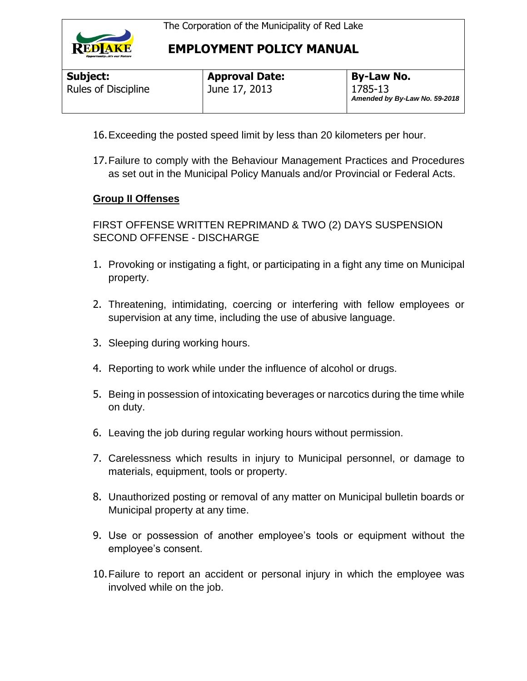

| Subject:                   |  |  |
|----------------------------|--|--|
| <b>Rules of Discipline</b> |  |  |

**Approval Date:** June 17, 2013

- 16.Exceeding the posted speed limit by less than 20 kilometers per hour.
- 17.Failure to comply with the Behaviour Management Practices and Procedures as set out in the Municipal Policy Manuals and/or Provincial or Federal Acts.

### **Group II Offenses**

FIRST OFFENSE WRITTEN REPRIMAND & TWO (2) DAYS SUSPENSION SECOND OFFENSE - DISCHARGE

- 1. Provoking or instigating a fight, or participating in a fight any time on Municipal property.
- 2. Threatening, intimidating, coercing or interfering with fellow employees or supervision at any time, including the use of abusive language.
- 3. Sleeping during working hours.
- 4. Reporting to work while under the influence of alcohol or drugs.
- 5. Being in possession of intoxicating beverages or narcotics during the time while on duty.
- 6. Leaving the job during regular working hours without permission.
- 7. Carelessness which results in injury to Municipal personnel, or damage to materials, equipment, tools or property.
- 8. Unauthorized posting or removal of any matter on Municipal bulletin boards or Municipal property at any time.
- 9. Use or possession of another employee's tools or equipment without the employee's consent.
- 10.Failure to report an accident or personal injury in which the employee was involved while on the job.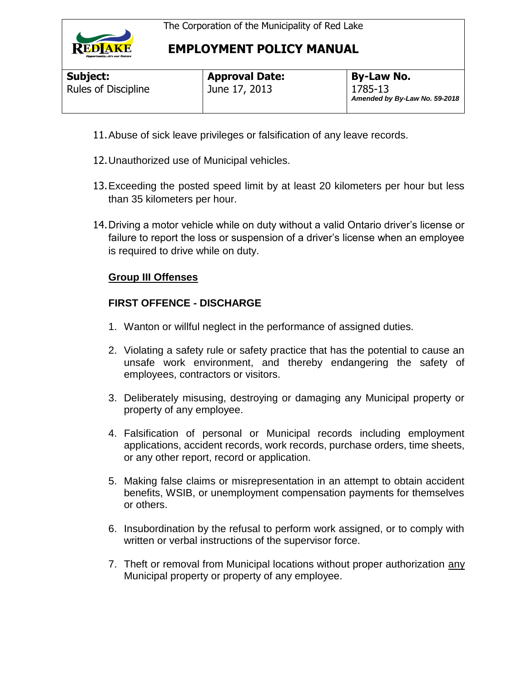

| Subject:                   |  |  |
|----------------------------|--|--|
| <b>Rules of Discipline</b> |  |  |

**Approval Date:** June 17, 2013

- 11.Abuse of sick leave privileges or falsification of any leave records.
- 12.Unauthorized use of Municipal vehicles.
- 13.Exceeding the posted speed limit by at least 20 kilometers per hour but less than 35 kilometers per hour.
- 14.Driving a motor vehicle while on duty without a valid Ontario driver's license or failure to report the loss or suspension of a driver's license when an employee is required to drive while on duty.

# **Group III Offenses**

# **FIRST OFFENCE - DISCHARGE**

- 1. Wanton or willful neglect in the performance of assigned duties.
- 2. Violating a safety rule or safety practice that has the potential to cause an unsafe work environment, and thereby endangering the safety of employees, contractors or visitors.
- 3. Deliberately misusing, destroying or damaging any Municipal property or property of any employee.
- 4. Falsification of personal or Municipal records including employment applications, accident records, work records, purchase orders, time sheets, or any other report, record or application.
- 5. Making false claims or misrepresentation in an attempt to obtain accident benefits, WSIB, or unemployment compensation payments for themselves or others.
- 6. Insubordination by the refusal to perform work assigned, or to comply with written or verbal instructions of the supervisor force.
- 7. Theft or removal from Municipal locations without proper authorization any Municipal property or property of any employee.